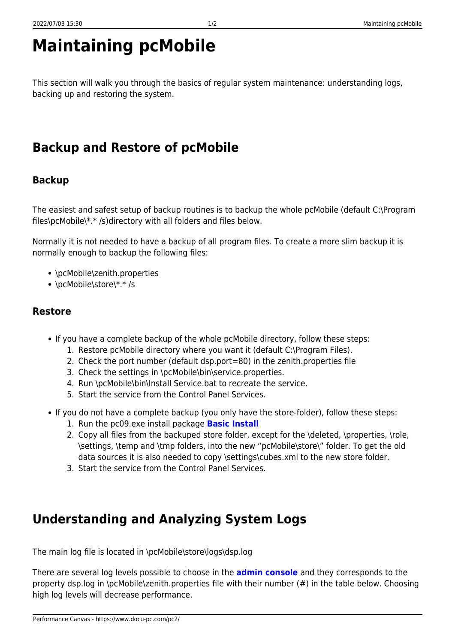# **Maintaining pcMobile**

This section will walk you through the basics of regular system maintenance: understanding logs, backing up and restoring the system.

## **Backup and Restore of pcMobile**

#### **Backup**

The easiest and safest setup of backup routines is to backup the whole pcMobile (default C:\Program files\pcMobile\\*.\* /s)directory with all folders and files below.

Normally it is not needed to have a backup of all program files. To create a more slim backup it is normally enough to backup the following files:

- \pcMobile\zenith.properties
- \pcMobile\store\\*.\* /s

#### **Restore**

- If you have a complete backup of the whole pcMobile directory, follow these steps:
	- 1. Restore pcMobile directory where you want it (default C:\Program Files).
	- 2. Check the port number (default dsp.port=80) in the zenith.properties file
	- 3. Check the settings in \pcMobile\bin\service.properties.
	- 4. Run \pcMobile\bin\Install Service.bat to recreate the service.
	- 5. Start the service from the Control Panel Services.
- If you do not have a complete backup (you only have the store-folder), follow these steps:
	- 1. Run the pc09.exe install package **[Basic Install](https://www.docu-pc.com/pc2/doku.php?id=pcmobile:installation:2)**
	- 2. Copy all files from the backuped store folder, except for the \deleted, \properties, \role, \settings, \temp and \tmp folders, into the new "pcMobile\store\" folder. To get the old data sources it is also needed to copy \settings\cubes.xml to the new store folder.
	- 3. Start the service from the Control Panel Services.

## **Understanding and Analyzing System Logs**

The main log file is located in \pcMobile\store\logs\dsp.log

There are several log levels possible to choose in the **[admin console](https://www.docu-pc.com/pc2/doku.php?id=pcmobile:userguide:admin:general#set_loglevel)** and they corresponds to the property dsp.log in \pcMobile\zenith.properties file with their number (#) in the table below. Choosing high log levels will decrease performance.